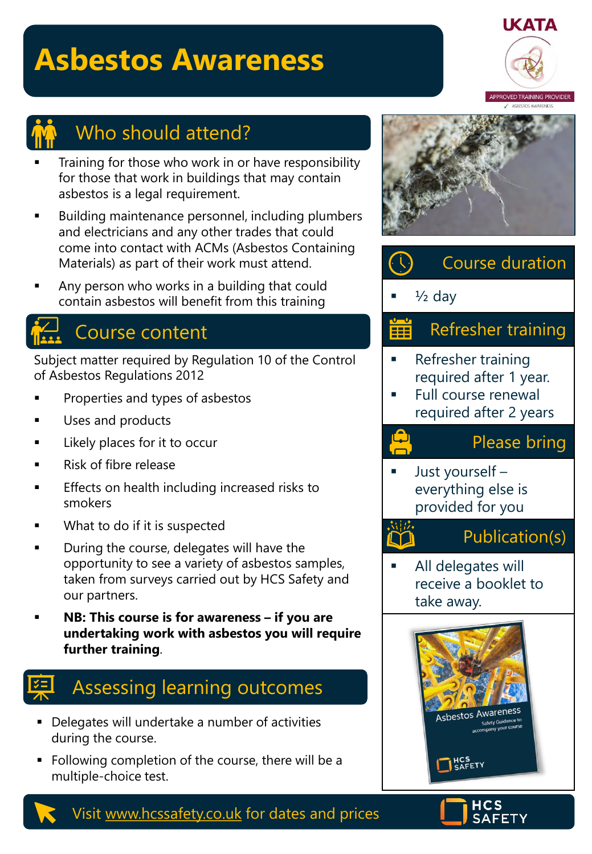# **Asbestos Awareness**





### Who should attend?

- Training for those who work in or have responsibility for those that work in buildings that may contain asbestos is a legal requirement.
- Building maintenance personnel, including plumbers and electricians and any other trades that could come into contact with ACMs (Asbestos Containing Materials) as part of their work must attend.
- Any person who works in a building that could contain asbestos will benefit from this training

### Course content

Subject matter required by Regulation 10 of the Control of Asbestos Regulations 2012

- Properties and types of asbestos
- Uses and products
- Likely places for it to occur
- Risk of fibre release
- Effects on health including increased risks to smokers
- What to do if it is suspected
- During the course, delegates will have the opportunity to see a variety of asbestos samples, taken from surveys carried out by HCS Safety and our partners.
- **NB: This course is for awareness if you are undertaking work with asbestos you will require further training**.

## Assessing learning outcomes

- Delegates will undertake a number of activities during the course.
- Following completion of the course, there will be a multiple-choice test.









Visit [www.hcssafety.co.uk](http://www.hcssafety.co.uk/) for dates and prices